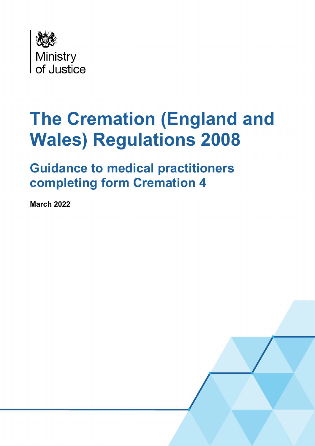

# **The Cremation (England and Wales) Regulations 2008**

**Guidance to medical practitioners completing form Cremation 4**

**March 2022** 

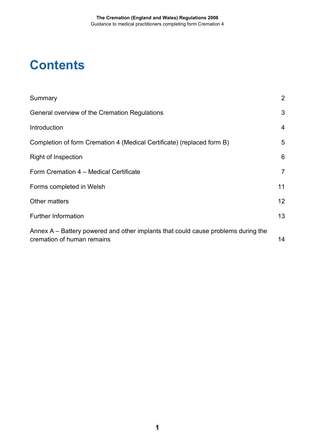### **Contents**

| Summary                                                                                                         | $\overline{2}$  |
|-----------------------------------------------------------------------------------------------------------------|-----------------|
| General overview of the Cremation Regulations                                                                   | 3               |
| Introduction                                                                                                    | $\overline{4}$  |
| Completion of form Cremation 4 (Medical Certificate) (replaced form B)                                          | 5               |
| <b>Right of Inspection</b>                                                                                      | 6               |
| Form Cremation 4 – Medical Certificate                                                                          | $\overline{7}$  |
| Forms completed in Welsh                                                                                        | 11              |
| <b>Other matters</b>                                                                                            | 12 <sup>2</sup> |
| <b>Further Information</b>                                                                                      | 13              |
| Annex A – Battery powered and other implants that could cause problems during the<br>cremation of human remains | 14              |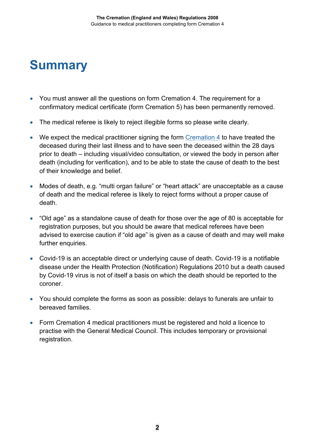### <span id="page-2-0"></span>**Summary**

- You must answer all the questions on form Cremation 4. The requirement for a confirmatory medical certificate (form Cremation 5) has been permanently removed.
- The medical referee is likely to reject illegible forms so please write clearly.
- We expect the medical practitioner signing the form [Cremation 4](https://www.gov.uk/government/publications/cremation-medical-certificate) to have treated the deceased during their last illness and to have seen the deceased within the 28 days prior to death – including visual/video consultation, or viewed the body in person after death (including for verification), and to be able to state the cause of death to the best of their knowledge and belief.
- Modes of death, e.g. "multi organ failure" or "heart attack" are unacceptable as a cause of death and the medical referee is likely to reject forms without a proper cause of death.
- "Old age" as a standalone cause of death for those over the age of 80 is acceptable for registration purposes, but you should be aware that medical referees have been advised to exercise caution if "old age" is given as a cause of death and may well make further enquiries.
- Covid-19 is an acceptable direct or underlying cause of death. Covid-19 is a notifiable disease under the Health Protection (Notification) Regulations 2010 but a death caused by Covid-19 virus is not of itself a basis on which the death should be reported to the coroner.
- You should complete the forms as soon as possible: delays to funerals are unfair to bereaved families.
- Form Cremation 4 medical practitioners must be registered and hold a licence to practise with the General Medical Council. This includes temporary or provisional registration.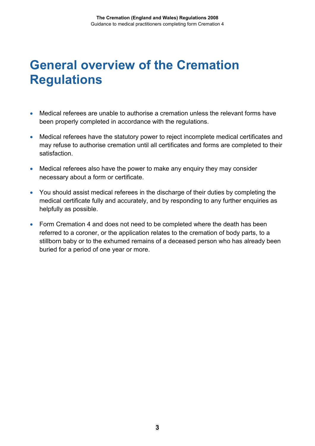### <span id="page-3-0"></span>**General overview of the Cremation Regulations**

- Medical referees are unable to authorise a cremation unless the relevant forms have been properly completed in accordance with the regulations.
- Medical referees have the statutory power to reject incomplete medical certificates and may refuse to authorise cremation until all certificates and forms are completed to their satisfaction.
- Medical referees also have the power to make any enquiry they may consider necessary about a form or certificate.
- You should assist medical referees in the discharge of their duties by completing the medical certificate fully and accurately, and by responding to any further enquiries as helpfully as possible.
- Form Cremation 4 and does not need to be completed where the death has been referred to a coroner, or the application relates to the cremation of body parts, to a stillborn baby or to the exhumed remains of a deceased person who has already been buried for a period of one year or more.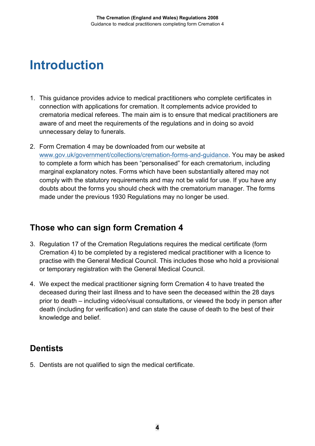### <span id="page-4-0"></span>**Introduction**

- 1. This guidance provides advice to medical practitioners who complete certificates in connection with applications for cremation. It complements advice provided to crematoria medical referees. The main aim is to ensure that medical practitioners are aware of and meet the requirements of the regulations and in doing so avoid unnecessary delay to funerals.
- 2. Form Cremation 4 may be downloaded from our website at [www.gov.uk/government/collections/cremation-forms-and-guidance.](http://www.gov.uk/government/collections/cremation-forms-and-guidance) You may be asked to complete a form which has been "personalised" for each crematorium, including marginal explanatory notes. Forms which have been substantially altered may not comply with the statutory requirements and may not be valid for use. If you have any doubts about the forms you should check with the crematorium manager. The forms made under the previous 1930 Regulations may no longer be used.

#### **Those who can sign form Cremation 4**

- 3. Regulation 17 of the Cremation Regulations requires the medical certificate (form Cremation 4) to be completed by a registered medical practitioner with a licence to practise with the General Medical Council. This includes those who hold a provisional or temporary registration with the General Medical Council.
- 4. We expect the medical practitioner signing form Cremation 4 to have treated the deceased during their last illness and to have seen the deceased within the 28 days prior to death – including video/visual consultations, or viewed the body in person after death (including for verification) and can state the cause of death to the best of their knowledge and belief.

#### **Dentists**

5. Dentists are not qualified to sign the medical certificate.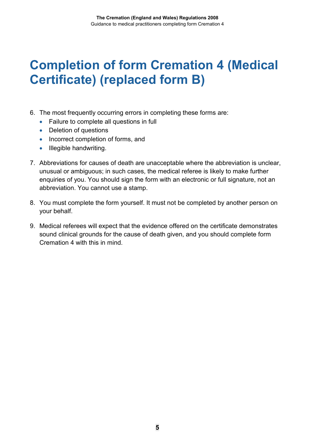### <span id="page-5-0"></span>**Completion of form Cremation 4 (Medical Certificate) (replaced form B)**

- 6. The most frequently occurring errors in completing these forms are:
	- Failure to complete all questions in full
	- Deletion of questions
	- Incorrect completion of forms, and
	- Illegible handwriting.
- 7. Abbreviations for causes of death are unacceptable where the abbreviation is unclear, unusual or ambiguous; in such cases, the medical referee is likely to make further enquiries of you. You should sign the form with an electronic or full signature, not an abbreviation. You cannot use a stamp.
- 8. You must complete the form yourself. It must not be completed by another person on your behalf.
- 9. Medical referees will expect that the evidence offered on the certificate demonstrates sound clinical grounds for the cause of death given, and you should complete form Cremation 4 with this in mind.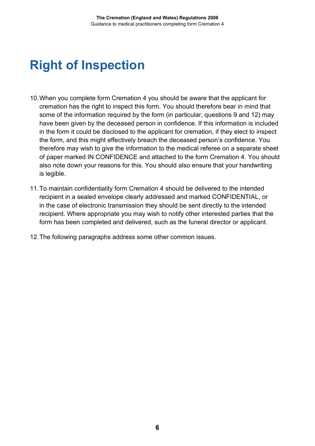## <span id="page-6-0"></span>**Right of Inspection**

- 10.When you complete form Cremation 4 you should be aware that the applicant for cremation has the right to inspect this form. You should therefore bear in mind that some of the information required by the form (in particular, questions 9 and 12) may have been given by the deceased person in confidence. If this information is included in the form it could be disclosed to the applicant for cremation, if they elect to inspect the form, and this might effectively breach the deceased person's confidence. You therefore may wish to give the information to the medical referee on a separate sheet of paper marked IN CONFIDENCE and attached to the form Cremation 4. You should also note down your reasons for this. You should also ensure that your handwriting is legible.
- 11.To maintain confidentiality form Cremation 4 should be delivered to the intended recipient in a sealed envelope clearly addressed and marked CONFIDENTIAL, or in the case of electronic transmission they should be sent directly to the intended recipient. Where appropriate you may wish to notify other interested parties that the form has been completed and delivered, such as the funeral director or applicant.
- 12.The following paragraphs address some other common issues.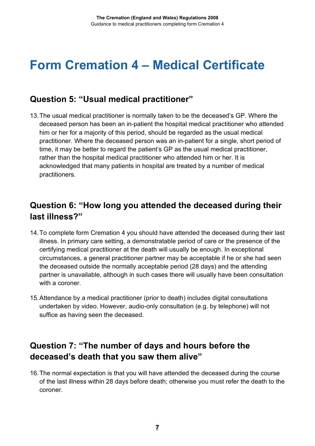### <span id="page-7-0"></span>**Form Cremation 4 – Medical Certificate**

#### **Question 5: "Usual medical practitioner"**

13.The usual medical practitioner is normally taken to be the deceased's GP. Where the deceased person has been an in-patient the hospital medical practitioner who attended him or her for a majority of this period, should be regarded as the usual medical practitioner. Where the deceased person was an in-patient for a single, short period of time, it may be better to regard the patient's GP as the usual medical practitioner, rather than the hospital medical practitioner who attended him or her. It is acknowledged that many patients in hospital are treated by a number of medical practitioners.

#### **Question 6: "How long you attended the deceased during their last illness?"**

- 14.To complete form Cremation 4 you should have attended the deceased during their last illness. In primary care setting, a demonstratable period of care or the presence of the certifying medical practitioner at the death will usually be enough. In exceptional circumstances, a general practitioner partner may be acceptable if he or she had seen the deceased outside the normally acceptable period (28 days) and the attending partner is unavailable, although in such cases there will usually have been consultation with a coroner.
- 15.Attendance by a medical practitioner (prior to death) includes digital consultations undertaken by video. However, audio-only consultation (e.g. by telephone) will not suffice as having seen the deceased.

#### **Question 7: "The number of days and hours before the deceased's death that you saw them alive"**

16.The normal expectation is that you will have attended the deceased during the course of the last illness within 28 days before death; otherwise you must refer the death to the coroner.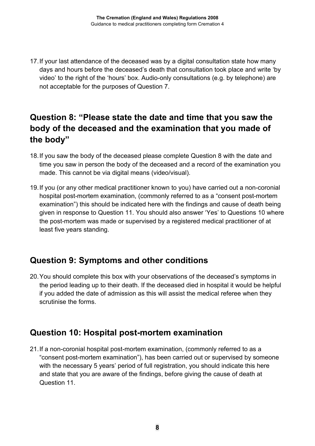17.If your last attendance of the deceased was by a digital consultation state how many days and hours before the deceased's death that consultation took place and write 'by video' to the right of the 'hours' box. Audio-only consultations (e.g. by telephone) are not acceptable for the purposes of Question 7.

#### **Question 8: "Please state the date and time that you saw the body of the deceased and the examination that you made of the body"**

- 18.If you saw the body of the deceased please complete Question 8 with the date and time you saw in person the body of the deceased and a record of the examination you made. This cannot be via digital means (video/visual).
- 19.If you (or any other medical practitioner known to you) have carried out a non-coronial hospital post-mortem examination, (commonly referred to as a "consent post-mortem examination") this should be indicated here with the findings and cause of death being given in response to Question 11. You should also answer 'Yes' to Questions 10 where the post-mortem was made or supervised by a registered medical practitioner of at least five years standing.

#### **Question 9: Symptoms and other conditions**

20.You should complete this box with your observations of the deceased's symptoms in the period leading up to their death. If the deceased died in hospital it would be helpful if you added the date of admission as this will assist the medical referee when they scrutinise the forms.

#### **Question 10: Hospital post-mortem examination**

21.If a non-coronial hospital post-mortem examination, (commonly referred to as a "consent post-mortem examination"), has been carried out or supervised by someone with the necessary 5 years' period of full registration, you should indicate this here and state that you are aware of the findings, before giving the cause of death at Question 11.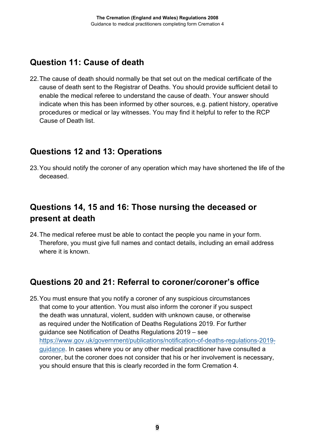#### **Question 11: Cause of death**

22.The cause of death should normally be that set out on the medical certificate of the cause of death sent to the Registrar of Deaths. You should provide sufficient detail to enable the medical referee to understand the cause of death. Your answer should indicate when this has been informed by other sources, e.g. patient history, operative procedures or medical or lay witnesses. You may find it helpful to refer to the RCP Cause of Death list.

#### **Questions 12 and 13: Operations**

23.You should notify the coroner of any operation which may have shortened the life of the deceased.

#### **Questions 14, 15 and 16: Those nursing the deceased or present at death**

24.The medical referee must be able to contact the people you name in your form. Therefore, you must give full names and contact details, including an email address where it is known.

#### **Questions 20 and 21: Referral to coroner/coroner's office**

25.You must ensure that you notify a coroner of any suspicious circumstances that come to your attention. You must also inform the coroner if you suspect the death was unnatural, violent, sudden with unknown cause, or otherwise as required under the Notification of Deaths Regulations 2019. For further guidance see Notification of Deaths Regulations 2019 – see [https://www.gov.uk/government/publications/notification-of-deaths-regulations-2019](https://www.gov.uk/government/publications/notification-of-deaths-regulations-2019-guidance) [guidance.](https://www.gov.uk/government/publications/notification-of-deaths-regulations-2019-guidance) In cases where you or any other medical practitioner have consulted a coroner, but the coroner does not consider that his or her involvement is necessary, you should ensure that this is clearly recorded in the form Cremation 4.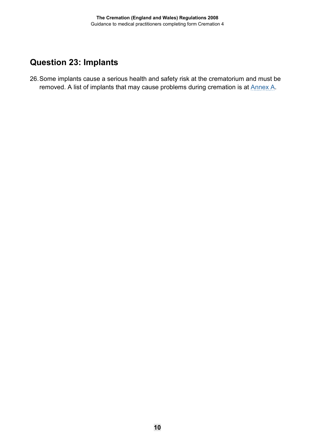### **Question 23: Implants**

26.Some implants cause a serious health and safety risk at the crematorium and must be removed. A list of implants that may cause problems during cremation is at **Annex A**.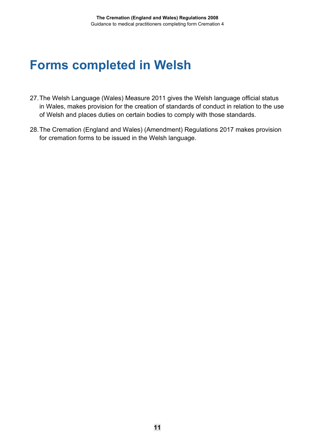### <span id="page-11-0"></span>**Forms completed in Welsh**

- 27.The Welsh Language (Wales) Measure 2011 gives the Welsh language official status in Wales, makes provision for the creation of standards of conduct in relation to the use of Welsh and places duties on certain bodies to comply with those standards.
- 28.The Cremation (England and Wales) (Amendment) Regulations 2017 makes provision for cremation forms to be issued in the Welsh language.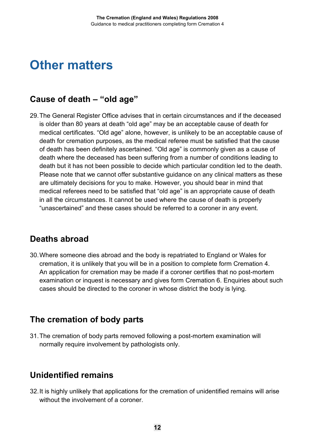### <span id="page-12-0"></span>**Other matters**

#### **Cause of death – "old age"**

29.The General Register Office advises that in certain circumstances and if the deceased is older than 80 years at death "old age" may be an acceptable cause of death for medical certificates. "Old age" alone, however, is unlikely to be an acceptable cause of death for cremation purposes, as the medical referee must be satisfied that the cause of death has been definitely ascertained. "Old age" is commonly given as a cause of death where the deceased has been suffering from a number of conditions leading to death but it has not been possible to decide which particular condition led to the death. Please note that we cannot offer substantive guidance on any clinical matters as these are ultimately decisions for you to make. However, you should bear in mind that medical referees need to be satisfied that "old age" is an appropriate cause of death in all the circumstances. It cannot be used where the cause of death is properly "unascertained" and these cases should be referred to a coroner in any event.

#### **Deaths abroad**

30.Where someone dies abroad and the body is repatriated to England or Wales for cremation, it is unlikely that you will be in a position to complete form Cremation 4. An application for cremation may be made if a coroner certifies that no post-mortem examination or inquest is necessary and gives form Cremation 6. Enquiries about such cases should be directed to the coroner in whose district the body is lying.

#### **The cremation of body parts**

31.The cremation of body parts removed following a post-mortem examination will normally require involvement by pathologists only.

#### **Unidentified remains**

32.It is highly unlikely that applications for the cremation of unidentified remains will arise without the involvement of a coroner.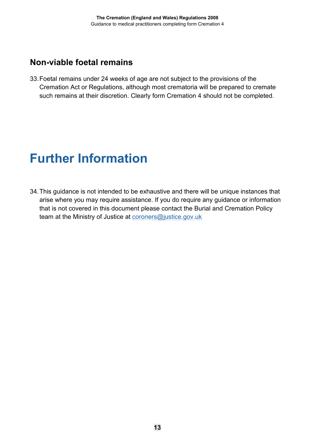#### **Non-viable foetal remains**

33.Foetal remains under 24 weeks of age are not subject to the provisions of the Cremation Act or Regulations, although most crematoria will be prepared to cremate such remains at their discretion. Clearly form Cremation 4 should not be completed.

### <span id="page-13-0"></span>**Further Information**

34.This guidance is not intended to be exhaustive and there will be unique instances that arise where you may require assistance. If you do require any guidance or information that is not covered in this document please contact the Burial and Cremation Policy team at the Ministry of Justice at [coroners@justice.gov.uk](mailto:coroners@justice.gov.uk)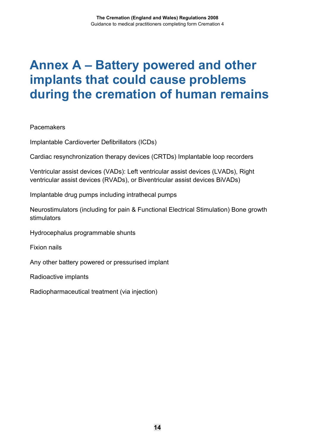### <span id="page-14-0"></span>**Annex A – Battery powered and other implants that could cause problems during the cremation of human remains**

Pacemakers

Implantable Cardioverter Defibrillators (ICDs)

Cardiac resynchronization therapy devices (CRTDs) Implantable loop recorders

Ventricular assist devices (VADs): Left ventricular assist devices (LVADs), Right ventricular assist devices (RVADs), or Biventricular assist devices BiVADs)

Implantable drug pumps including intrathecal pumps

Neurostimulators (including for pain & Functional Electrical Stimulation) Bone growth stimulators

Hydrocephalus programmable shunts

Fixion nails

Any other battery powered or pressurised implant

Radioactive implants

Radiopharmaceutical treatment (via injection)